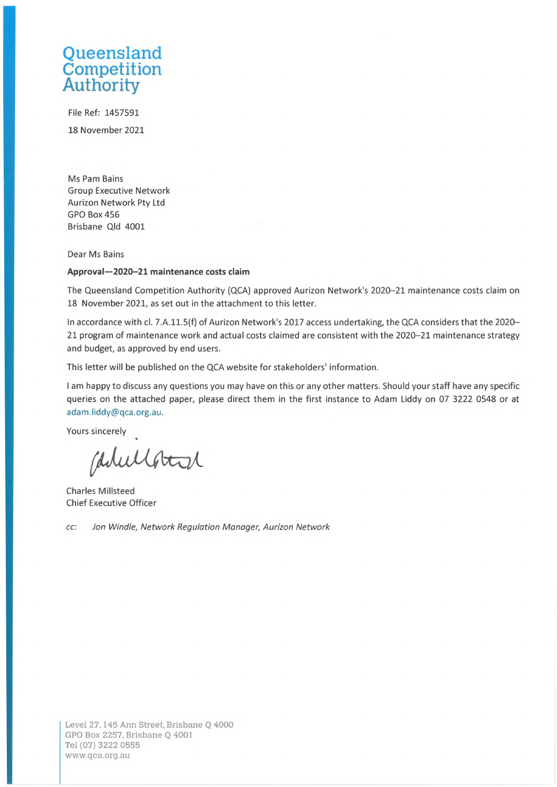## **Oueensland** Competition Authority

File Ref: 1457591 18 November 2021

Ms Pam Bains Group Executive Network Aurizon Network Pty Ltd GPO Box 456 Brisbane Qld 4001

Dear Ms Bains

## **Approval—2020-21 maintenance costs claim**

The Queensland Competition Authority (QCA) approved Aurizon Network's 2020-21 maintenance costs claim on 18 November 2021, as set out in the attachment to this letter.

In accordance with cl. 7.A.11.5(f) of Aurizon Network's 2017 access undertaking, the QCA considers that the 2020- 21 program of maintenance work and actual costs claimed are consistent with the 2020-21 maintenance strategy and budget, as approved by end users.

This letter will be published on the QCA website for stakeholders' information.

<sup>I</sup> am happy to discuss any questions you may have on this or any other matters. Should your staff have any specific queries on the attached paper, please direct them in the first instance to Adam Liddy on 07 3222 0548 or at [adam.liddy@qca.org.au](mailto:adam.liddy@qca.org.au).

Yours sincerely

Carlellotal

Charles Millsteed Chief Executive Officer

*cc: Jon Windle, Network Regulation Manager***,** *Aurizon Network*

Level 27,145 Ann Street, Brisbane Q 4000 GPO Box 2257, Brisbane Q 4001 Tel (07) 3222 0555 [www.qca.org.au](http://www.qca.org.au)